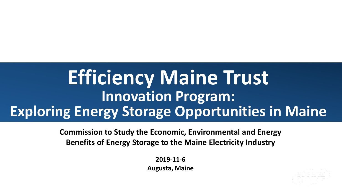# **Efficiency Maine Trust Innovation Program: Exploring Energy Storage Opportunities in Maine**

**Commission to Study the Economic, Environmental and Energy Benefits of Energy Storage to the Maine Electricity Industry**

> **2019-11-6 Augusta, Maine**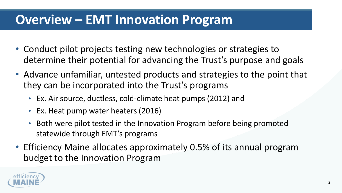# **Overview – EMT Innovation Program**

- Conduct pilot projects testing new technologies or strategies to determine their potential for advancing the Trust's purpose and goals
- Advance unfamiliar, untested products and strategies to the point that they can be incorporated into the Trust's programs
	- Ex. Air source, ductless, cold-climate heat pumps (2012) and
	- Ex. Heat pump water heaters (2016)
	- Both were pilot tested in the Innovation Program before being promoted statewide through EMT's programs
- Efficiency Maine allocates approximately 0.5% of its annual program budget to the Innovation Program

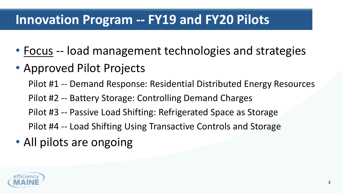# **Innovation Program -- FY19 and FY20 Pilots**

- Focus -- load management technologies and strategies
- Approved Pilot Projects
	- Pilot #1 -- Demand Response: Residential Distributed Energy Resources
	- Pilot #2 -- Battery Storage: Controlling Demand Charges
	- Pilot #3 -- Passive Load Shifting: Refrigerated Space as Storage
	- Pilot #4 -- Load Shifting Using Transactive Controls and Storage
- All pilots are ongoing

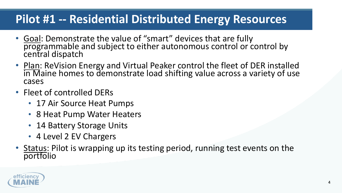#### **Pilot #1 -- Residential Distributed Energy Resources**

- Goal: Demonstrate the value of "smart" devices that are fully programmable and subject to either autonomous control or control by central dispatch
- Plan: ReVision Energy and Virtual Peaker control the fleet of DER installed in Maine homes to demonstrate load shifting value across a variety of use cases
- Fleet of controlled DERs
	- 17 Air Source Heat Pumps
	- 8 Heat Pump Water Heaters
	- 14 Battery Storage Units
	- 4 Level 2 EV Chargers
- Status: Pilot is wrapping up its testing period, running test events on the portfolio

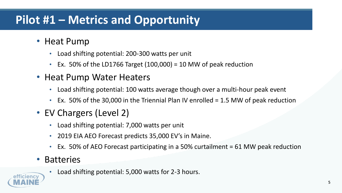### **Pilot #1 – Metrics and Opportunity**

- Heat Pump
	- Load shifting potential: 200-300 watts per unit
	- Ex. 50% of the LD1766 Target  $(100,000) = 10$  MW of peak reduction
- Heat Pump Water Heaters
	- Load shifting potential: 100 watts average though over a multi-hour peak event
	- Ex. 50% of the 30,000 in the Triennial Plan IV enrolled = 1.5 MW of peak reduction
- EV Chargers (Level 2)
	- Load shifting potential: 7,000 watts per unit
	- 2019 EIA AEO Forecast predicts 35,000 EV's in Maine.
	- Ex. 50% of AEO Forecast participating in a 50% curtailment = 61 MW peak reduction
- **Batteries** 
	- Load shifting potential: 5,000 watts for 2-3 hours.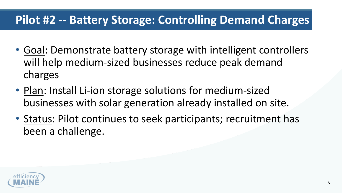#### **Pilot #2 -- Battery Storage: Controlling Demand Charges**

- Goal: Demonstrate battery storage with intelligent controllers will help medium-sized businesses reduce peak demand charges
- Plan: Install Li-ion storage solutions for medium-sized businesses with solar generation already installed on site.
- Status: Pilot continues to seek participants; recruitment has been a challenge.

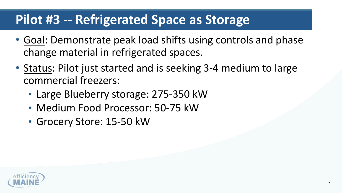## **Pilot #3 -- Refrigerated Space as Storage**

- Goal: Demonstrate peak load shifts using controls and phase change material in refrigerated spaces.
- Status: Pilot just started and is seeking 3-4 medium to large commercial freezers:
	- Large Blueberry storage: 275-350 kW
	- Medium Food Processor: 50-75 kW
	- Grocery Store: 15-50 kW

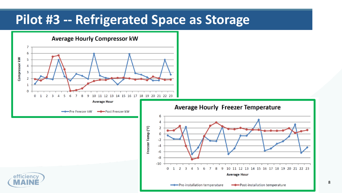## **Pilot #3 -- Refrigerated Space as Storage**



8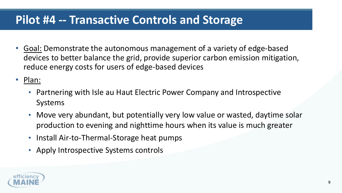#### **Pilot #4 -- Transactive Controls and Storage**

- Goal: Demonstrate the autonomous management of a variety of edge-based devices to better balance the grid, provide superior carbon emission mitigation, reduce energy costs for users of edge-based devices
- Plan:
	- Partnering with Isle au Haut Electric Power Company and Introspective Systems
	- Move very abundant, but potentially very low value or wasted, daytime solar production to evening and nighttime hours when its value is much greater
	- Install Air-to-Thermal-Storage heat pumps
	- Apply Introspective Systems controls